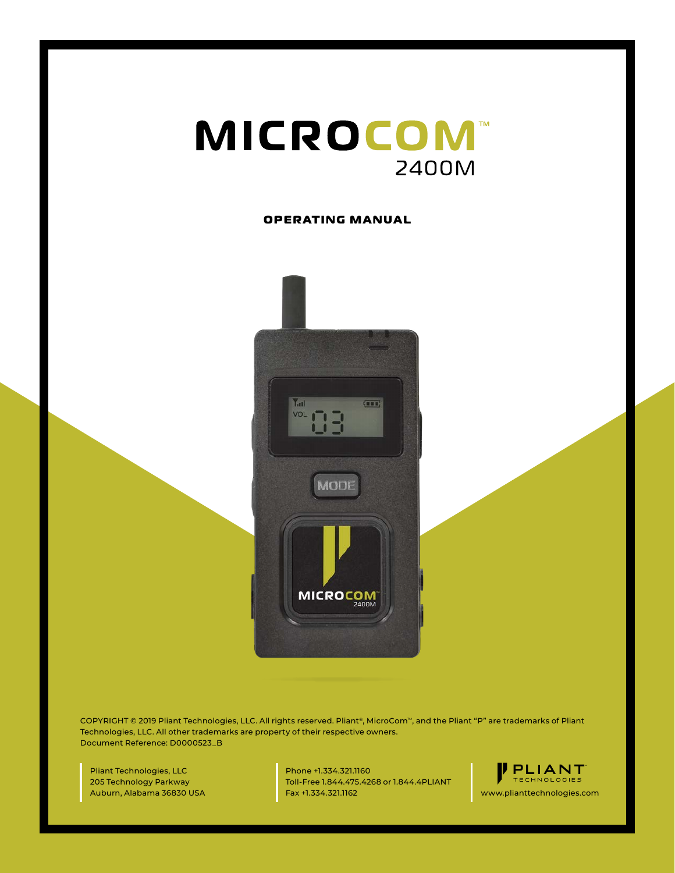

#### **OPERATING MANUAL**



COPYRIGHT © 2019 Pliant Technologies, LLC. All rights reserved. Pliant®, MicroCom™, and the Pliant "P" are trademarks of Pliant Technologies, LLC. All other trademarks are property of their respective owners. Document Reference: D0000523\_B

Pliant Technologies, LLC 205 Technology Parkway Auburn, Alabama 36830 USA Phone +1.334.321.1160 Toll-Free 1.844.475.4268 or 1.844.4PLIANT Fax +1.334.321.1162 www.plianttechnologies.com

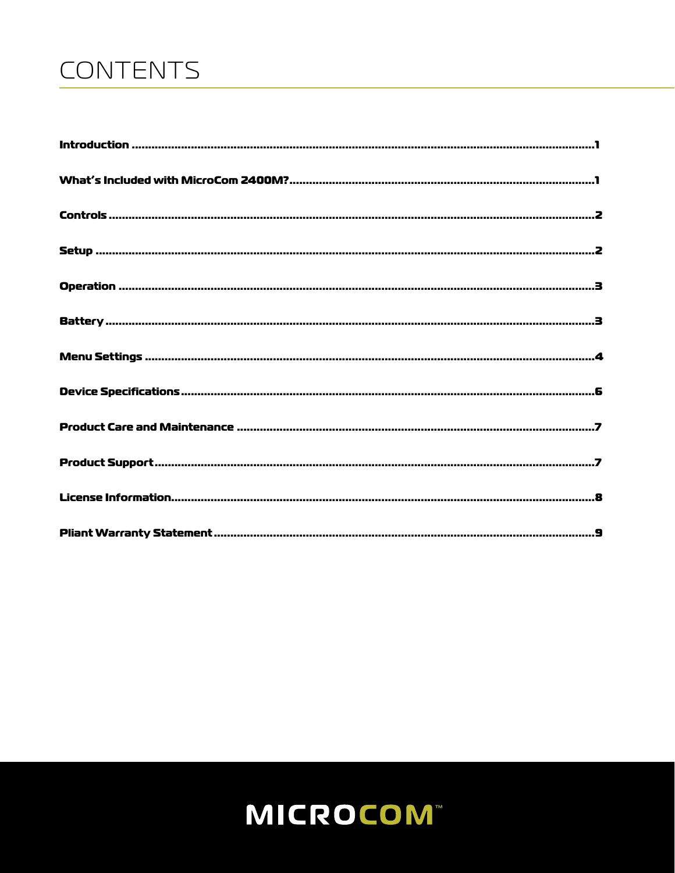# CONTENTS

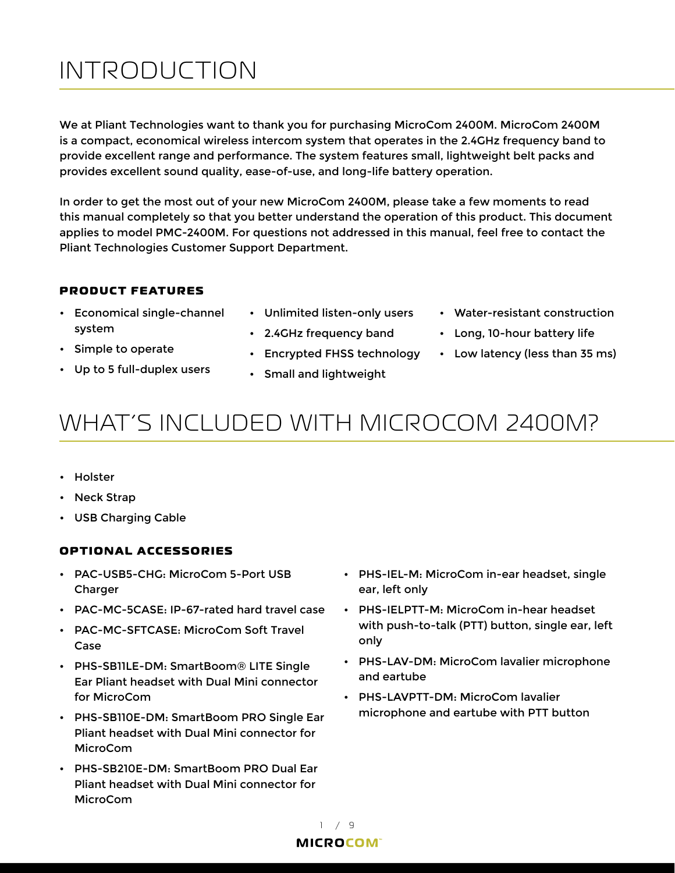# <span id="page-2-0"></span>INTRODUCTION

We at Pliant Technologies want to thank you for purchasing MicroCom 2400M. MicroCom 2400M is a compact, economical wireless intercom system that operates in the 2.4GHz frequency band to provide excellent range and performance. The system features small, lightweight belt packs and provides excellent sound quality, ease-of-use, and long-life battery operation.

In order to get the most out of your new MicroCom 2400M, please take a few moments to read this manual completely so that you better understand the operation of this product. This document applies to model PMC-2400M. For questions not addressed in this manual, feel free to contact the Pliant Technologies Customer Support Department.

### **PRODUCT FEATURES**

- Economical single-channel system
- Simple to operate
- Up to 5 full-duplex users
- Unlimited listen-only users

• Encrypted FHSS technology

• 2.4GHz frequency band

• Small and lightweight

- Water-resistant construction
- Long, 10-hour battery life
- Low latency (less than 35 ms)

### WHAT'S INCLUDED WITH MICROCOM 2400M?

- Holster
- Neck Strap
- USB Charging Cable

### **OPTIONAL ACCESSORIES**

- PAC-USB5-CHG: MicroCom 5-Port USB Charger
- PAC-MC-5CASE: IP-67-rated hard travel case
- PAC-MC-SFTCASE: MicroCom Soft Travel Case
- PHS-SB11LE-DM: SmartBoom® LITE Single Ear Pliant headset with Dual Mini connector for MicroCom
- PHS-SB110E-DM: SmartBoom PRO Single Ear Pliant headset with Dual Mini connector for MicroCom
- PHS-SB210E-DM: SmartBoom PRO Dual Ear Pliant headset with Dual Mini connector for **MicroCom**
- PHS-IEL-M: MicroCom in-ear headset, single ear, left only
- PHS-IELPTT-M: MicroCom in-hear headset with push-to-talk (PTT) button, single ear, left only
- PHS-LAV-DM: MicroCom lavalier microphone and eartube
- PHS-LAVPTT-DM: MicroCom lavalier microphone and eartube with PTT button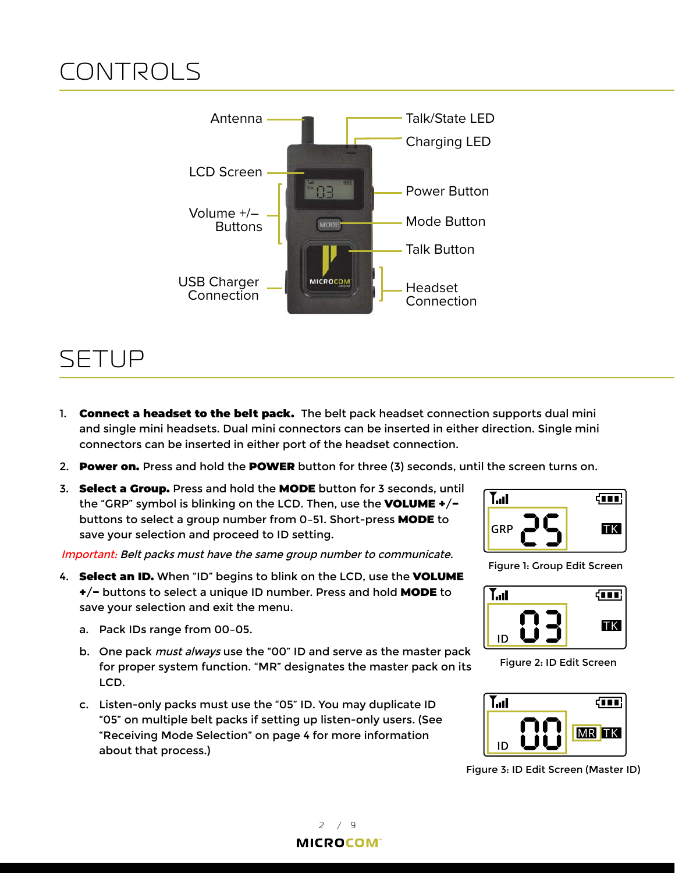# <span id="page-3-0"></span>CONTROLS



## SETUP

- 1. Connect a headset to the belt pack. The belt pack headset connection supports dual mini and single mini headsets. Dual mini connectors can be inserted in either direction. Single mini connectors can be inserted in either port of the headset connection.
- 2. Power on. Press and hold the POWER button for three (3) seconds, until the screen turns on.
- 3. Select a Group. Press and hold the MODE button for 3 seconds, until the "GRP" symbol is blinking on the LCD. Then, use the VOLUME +/− buttons to select a group number from 0–51. Short-press MODE to save your selection and proceed to ID setting.

Important: Belt packs must have the same group number to communicate.

- 4. **Select an ID.** When "ID" begins to blink on the LCD, use the VOLUME +/− buttons to select a unique ID number. Press and hold MODE to save your selection and exit the menu.
	- a. Pack IDs range from 00–05.
	- b. One pack *must always* use the "00" ID and serve as the master pack for proper system function. "MR" designates the master pack on its LCD.
	- c. Listen-only packs must use the "05" ID. You may duplicate ID "05" on multiple belt packs if setting up listen-only users. (See ["Receiving Mode Selection" on page 4](#page-5-1) for more information about that process.)



Figure 1: Group Edit Screen



Figure 2: ID Edit Screen



Figure 3: ID Edit Screen (Master ID)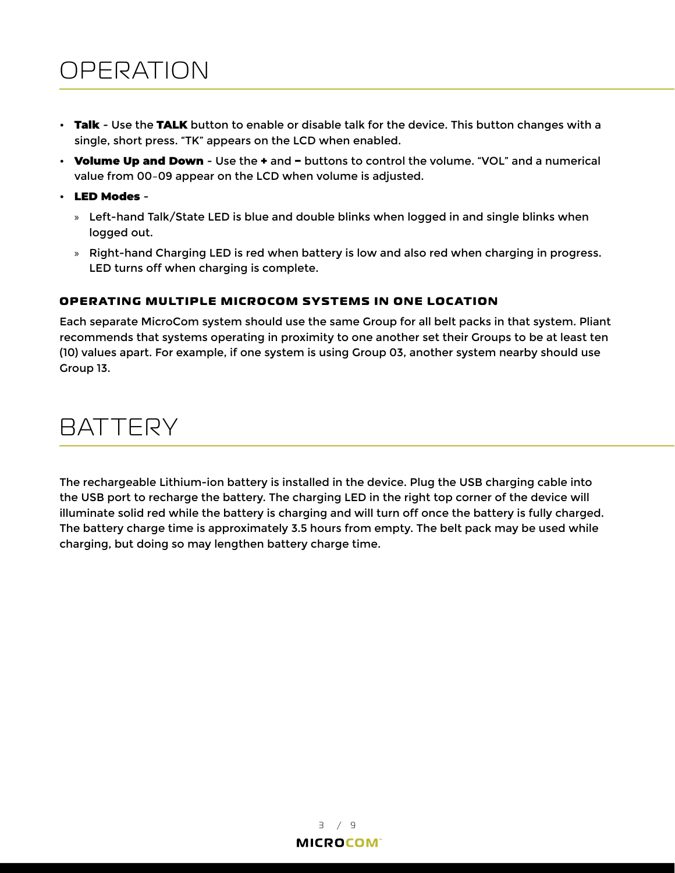## <span id="page-4-0"></span>OPERATION

- Talk Use the TALK button to enable or disable talk for the device. This button changes with a single, short press. "TK" appears on the LCD when enabled.
- Volume Up and Down Use the + and − buttons to control the volume. "VOL" and a numerical value from 00–09 appear on the LCD when volume is adjusted.
- LED Modes
	- » Left-hand Talk/State LED is blue and double blinks when logged in and single blinks when logged out.
	- » Right-hand Charging LED is red when battery is low and also red when charging in progress. LED turns off when charging is complete.

### **OPERATING MULTIPLE MICROCOM SY STEMS IN ONE LOC ATION**

Each separate MicroCom system should use the same Group for all belt packs in that system. Pliant recommends that systems operating in proximity to one another set their Groups to be at least ten (10) values apart. For example, if one system is using Group 03, another system nearby should use Group 13.

## **BATTERY**

The rechargeable Lithium-ion battery is installed in the device. Plug the USB charging cable into the USB port to recharge the battery. The charging LED in the right top corner of the device will illuminate solid red while the battery is charging and will turn off once the battery is fully charged. The battery charge time is approximately 3.5 hours from empty. The belt pack may be used while charging, but doing so may lengthen battery charge time.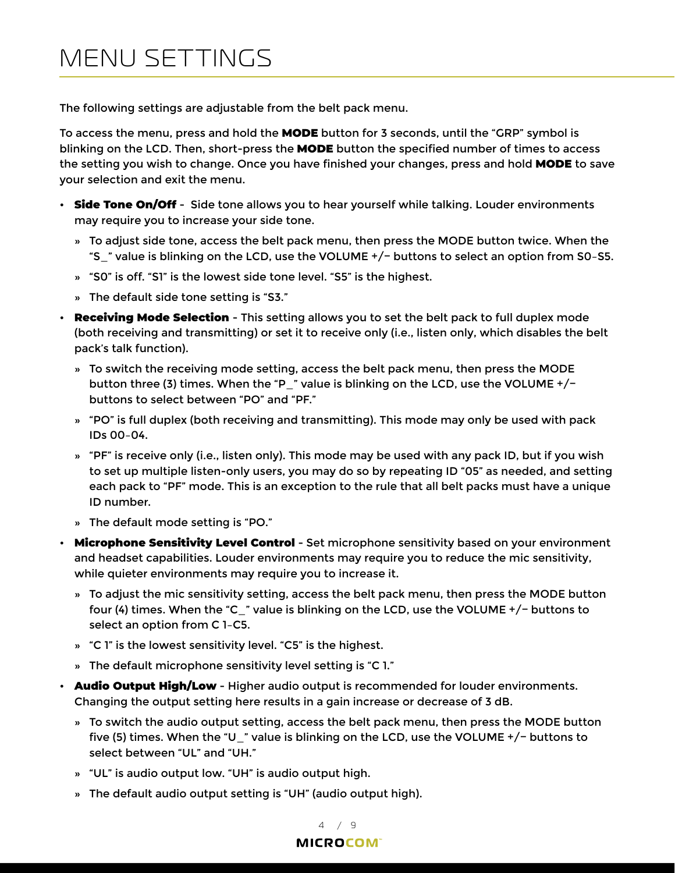# <span id="page-5-0"></span>MENU SETTINGS

The following settings are adjustable from the belt pack menu.

To access the menu, press and hold the MODE button for 3 seconds, until the "GRP" symbol is blinking on the LCD. Then, short-press the MODE button the specified number of times to access the setting you wish to change. Once you have finished your changes, press and hold MODE to save your selection and exit the menu.

- Side Tone On/Off Side tone allows you to hear yourself while talking. Louder environments may require you to increase your side tone.
	- » To adjust side tone, access the belt pack menu, then press the MODE button twice. When the "S\_" value is blinking on the LCD, use the VOLUME +/− buttons to select an option from S0–S5.
	- » "S0" is off. "S1" is the lowest side tone level. "S5" is the highest.
	- » The default side tone setting is "S3."
- <span id="page-5-1"></span>• Receiving Mode Selection - This setting allows you to set the belt pack to full duplex mode (both receiving and transmitting) or set it to receive only (i.e., listen only, which disables the belt pack's talk function).
	- » To switch the receiving mode setting, access the belt pack menu, then press the MODE button three (3) times. When the "P\_" value is blinking on the LCD, use the VOLUME +/− buttons to select between "PO" and "PF."
	- » "PO" is full duplex (both receiving and transmitting). This mode may only be used with pack IDs 00–04.
	- » "PF" is receive only (i.e., listen only). This mode may be used with any pack ID, but if you wish to set up multiple listen-only users, you may do so by repeating ID "05" as needed, and setting each pack to "PF" mode. This is an exception to the rule that all belt packs must have a unique ID number.
	- » The default mode setting is "PO."
- Microphone Sensitivity Level Control Set microphone sensitivity based on your environment and headset capabilities. Louder environments may require you to reduce the mic sensitivity, while quieter environments may require you to increase it.
	- » To adjust the mic sensitivity setting, access the belt pack menu, then press the MODE button four (4) times. When the "C\_" value is blinking on the LCD, use the VOLUME +/− buttons to select an option from C 1–C5.
	- » "C 1" is the lowest sensitivity level. "C5" is the highest.
	- » The default microphone sensitivity level setting is "C 1."
- **Audio Output High/Low** Higher audio output is recommended for louder environments. Changing the output setting here results in a gain increase or decrease of 3 dB.
	- » To switch the audio output setting, access the belt pack menu, then press the MODE button five (5) times. When the "U\_" value is blinking on the LCD, use the VOLUME +/− buttons to select between "UL" and "UH."
	- » "UL" is audio output low. "UH" is audio output high.
	- » The default audio output setting is "UH" (audio output high).

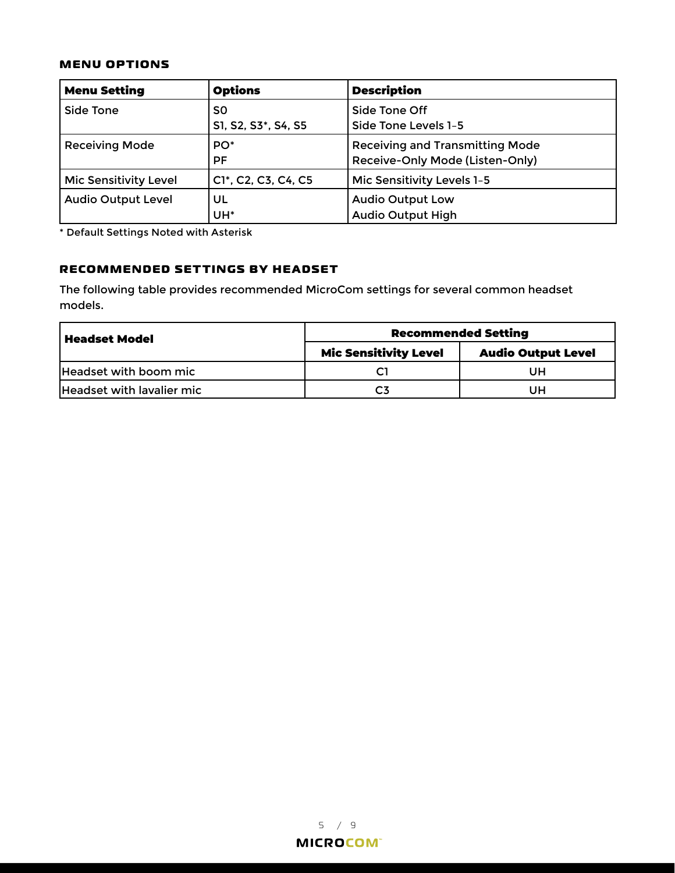#### **MENU OPTIONS**

| <b>Menu Setting</b>          | <b>Options</b>               | <b>Description</b>                                                        |
|------------------------------|------------------------------|---------------------------------------------------------------------------|
| Side Tone                    | S0<br>S1, S2, S3*, S4, S5    | Side Tone Off<br>Side Tone Levels 1-5                                     |
| <b>Receiving Mode</b>        | PO <sup>*</sup><br><b>PF</b> | <b>Receiving and Transmitting Mode</b><br>Receive-Only Mode (Listen-Only) |
| <b>Mic Sensitivity Level</b> | C1*, C2, C3, C4, C5          | Mic Sensitivity Levels 1-5                                                |
| <b>Audio Output Level</b>    | UL<br>UH <sup>*</sup>        | <b>Audio Output Low</b><br><b>Audio Output High</b>                       |

\* Default Settings Noted with Asterisk

### **RECOMMENDED SETTINGS BY HEADSET**

The following table provides recommended MicroCom settings for several common headset models.

| <b>Headset Model</b>      | <b>Recommended Setting</b>   |                           |  |
|---------------------------|------------------------------|---------------------------|--|
|                           | <b>Mic Sensitivity Level</b> | <b>Audio Output Level</b> |  |
| Headset with boom mic     |                              | UН                        |  |
| Headset with lavalier mic |                              | UH                        |  |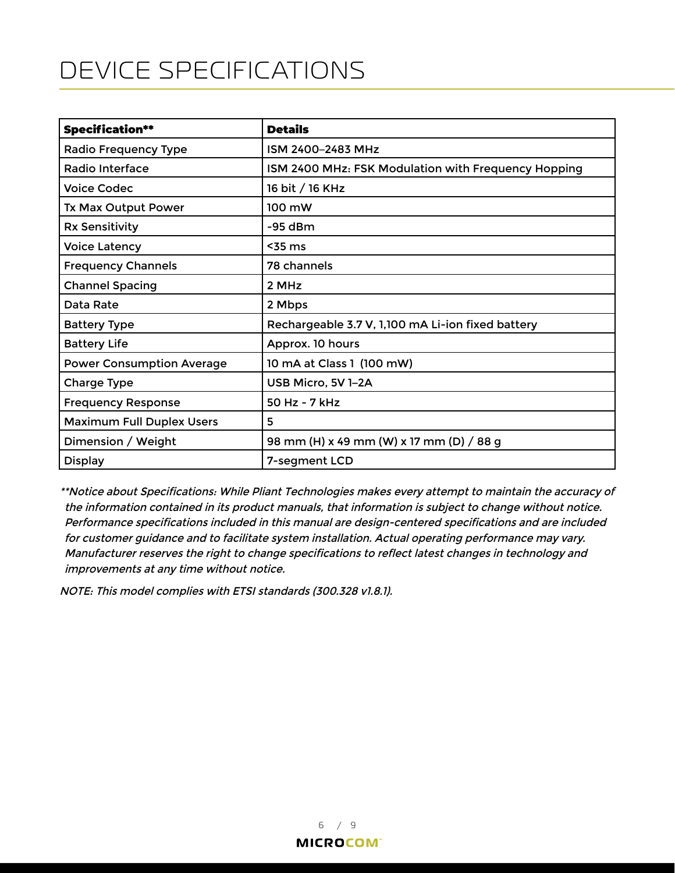# <span id="page-7-0"></span>DEVICE SPECIFICATIONS

| <b>Specification**</b>           | <b>Details</b>                                      |
|----------------------------------|-----------------------------------------------------|
| Radio Frequency Type             | ISM 2400-2483 MHz                                   |
| Radio Interface                  | ISM 2400 MHz: FSK Modulation with Frequency Hopping |
| <b>Voice Codec</b>               | 16 bit / 16 KHz                                     |
| <b>Tx Max Output Power</b>       | 100 mW                                              |
| <b>Rx Sensitivity</b>            | $-95$ dBm                                           |
| <b>Voice Latency</b>             | $55$ ms                                             |
| <b>Frequency Channels</b>        | 78 channels                                         |
| <b>Channel Spacing</b>           | 2 MHz                                               |
| Data Rate                        | 2 Mbps                                              |
| <b>Battery Type</b>              | Rechargeable 3.7 V, 1,100 mA Li-ion fixed battery   |
| <b>Battery Life</b>              | Approx. 10 hours                                    |
| <b>Power Consumption Average</b> | 10 mA at Class 1 (100 mW)                           |
| <b>Charge Type</b>               | USB Micro, 5V 1-2A                                  |
| <b>Frequency Response</b>        | $50$ Hz - 7 kHz                                     |
| <b>Maximum Full Duplex Users</b> | 5                                                   |
| Dimension / Weight               | 98 mm (H) x 49 mm (W) x 17 mm (D) / 88 g            |
| <b>Display</b>                   | 7-segment LCD                                       |

\*\*Notice about Specifications: While Pliant Technologies makes every attempt to maintain the accuracy of the information contained in its product manuals, that information is subject to change without notice. Performance specifications included in this manual are design-centered specifications and are included for customer guidance and to facilitate system installation. Actual operating performance may vary. Manufacturer reserves the right to change specifications to reflect latest changes in technology and improvements at any time without notice.

NOTE: This model complies with ETSI standards (300.328 v1.8.1).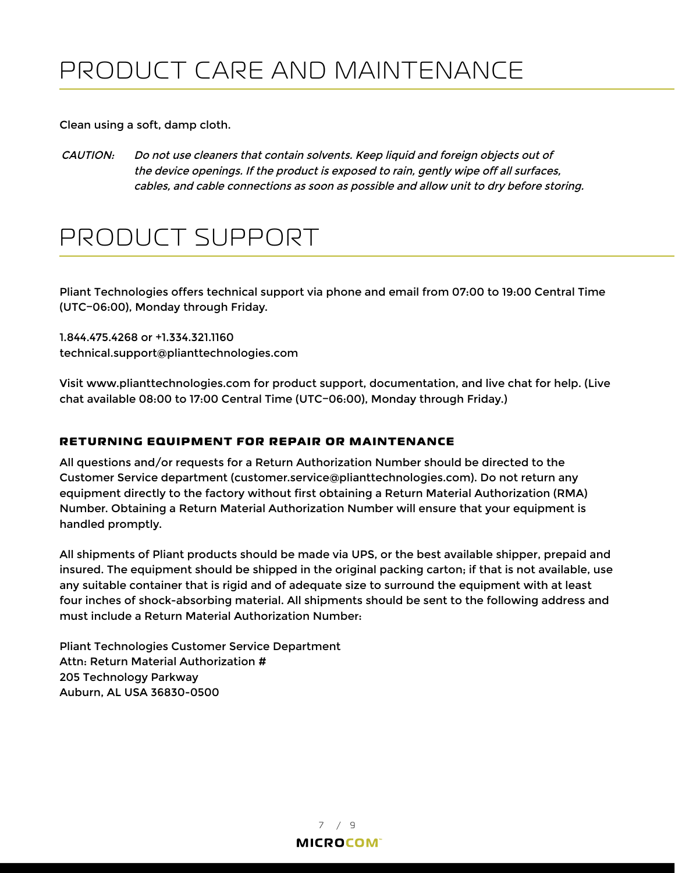<span id="page-8-0"></span>Clean using a soft, damp cloth.

CAUTION: Do not use cleaners that contain solvents. Keep liquid and foreign objects out of the device openings. If the product is exposed to rain, gently wipe off all surfaces, cables, and cable connections as soon as possible and allow unit to dry before storing.

## PRODUCT SUPPORT

Pliant Technologies offers technical support via phone and email from 07:00 to 19:00 Central Time (UTC−06:00), Monday through Friday.

1.844.475.4268 or +1.334.321.1160 technical.support@plianttechnologies.com

Visit www.plianttechnologies.com for product support, documentation, and live chat for help. (Live chat available 08:00 to 17:00 Central Time (UTC−06:00), Monday through Friday.)

### **RETURNING EQUIPMENT FOR REPAIR OR MAINTENANCE**

All questions and/or requests for a Return Authorization Number should be directed to the Customer Service department (customer.service@plianttechnologies.com). Do not return any equipment directly to the factory without first obtaining a Return Material Authorization (RMA) Number. Obtaining a Return Material Authorization Number will ensure that your equipment is handled promptly.

All shipments of Pliant products should be made via UPS, or the best available shipper, prepaid and insured. The equipment should be shipped in the original packing carton; if that is not available, use any suitable container that is rigid and of adequate size to surround the equipment with at least four inches of shock-absorbing material. All shipments should be sent to the following address and must include a Return Material Authorization Number:

Pliant Technologies Customer Service Department Attn: Return Material Authorization # 205 Technology Parkway Auburn, AL USA 36830-0500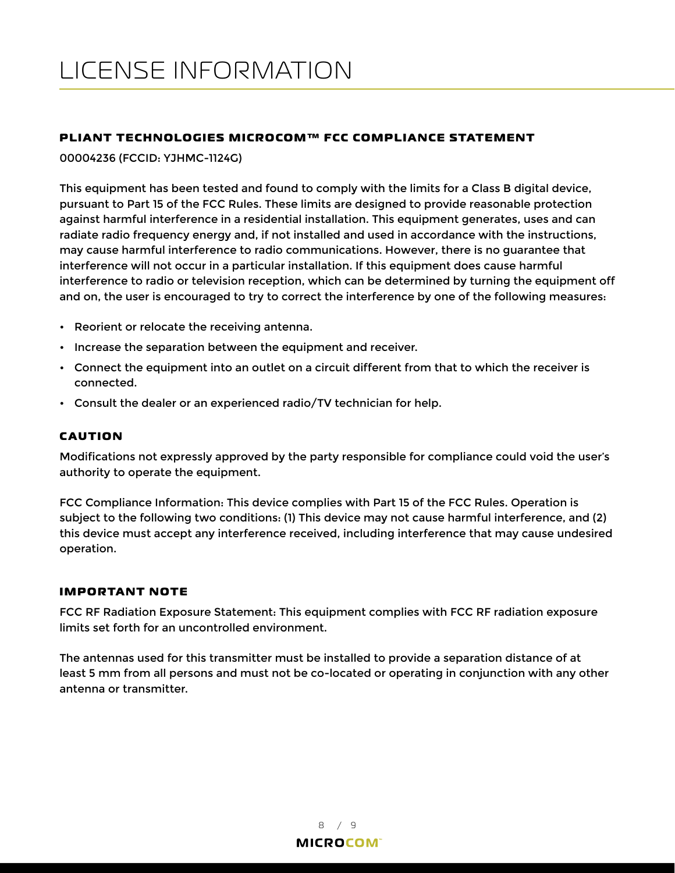### <span id="page-9-0"></span>**PLIANT TECHNOLOGIES MICROCOM™ FCC COMPLIANCE STATEMENT**

00004236 (FCCID: YJHMC-1124G)

This equipment has been tested and found to comply with the limits for a Class B digital device, pursuant to Part 15 of the FCC Rules. These limits are designed to provide reasonable protection against harmful interference in a residential installation. This equipment generates, uses and can radiate radio frequency energy and, if not installed and used in accordance with the instructions, may cause harmful interference to radio communications. However, there is no guarantee that interference will not occur in a particular installation. If this equipment does cause harmful interference to radio or television reception, which can be determined by turning the equipment off and on, the user is encouraged to try to correct the interference by one of the following measures:

- Reorient or relocate the receiving antenna.
- Increase the separation between the equipment and receiver.
- Connect the equipment into an outlet on a circuit different from that to which the receiver is connected.
- Consult the dealer or an experienced radio/TV technician for help.

#### **CAUTION**

Modifications not expressly approved by the party responsible for compliance could void the user's authority to operate the equipment.

FCC Compliance Information: This device complies with Part 15 of the FCC Rules. Operation is subject to the following two conditions: (1) This device may not cause harmful interference, and (2) this device must accept any interference received, including interference that may cause undesired operation.

#### **IMPORTANT NOTE**

FCC RF Radiation Exposure Statement: This equipment complies with FCC RF radiation exposure limits set forth for an uncontrolled environment.

The antennas used for this transmitter must be installed to provide a separation distance of at least 5 mm from all persons and must not be co-located or operating in conjunction with any other antenna or transmitter.